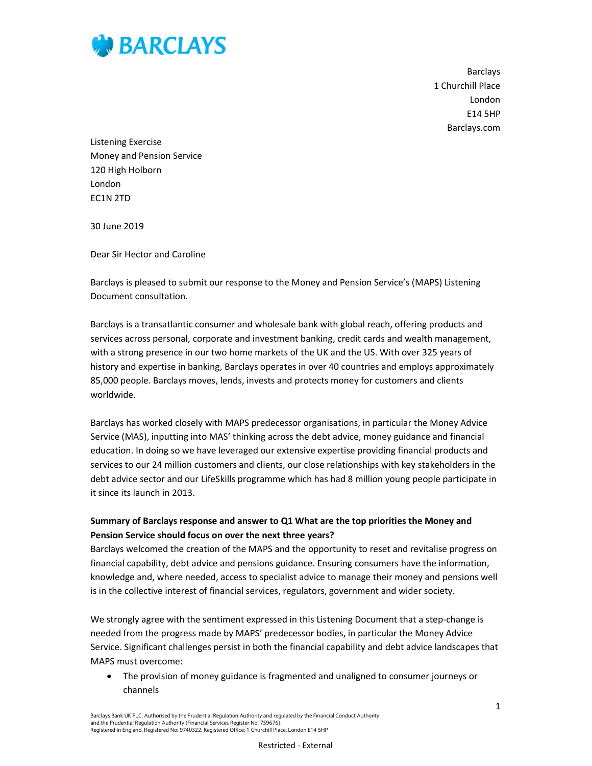

**Barclays** 1 Churchill Place London E14 5HP Barclays.com

Listening Exercise Money and Pension Service 120 High Holborn London EC1N 2TD

30 June 2019

Dear Sir Hector and Caroline

Barclays is pleased to submit our response to the Money and Pension Service's (MAPS) Listening Document consultation.

Barclays is a transatlantic consumer and wholesale bank with global reach, offering products and services across personal, corporate and investment banking, credit cards and wealth management, with a strong presence in our two home markets of the UK and the US. With over 325 years of history and expertise in banking, Barclays operates in over 40 countries and employs approximately 85,000 people. Barclays moves, lends, invests and protects money for customers and clients worldwide.

Barclays has worked closely with MAPS predecessor organisations, in particular the Money Advice Service (MAS), inputting into MAS' thinking across the debt advice, money guidance and financial education. In doing so we have leveraged our extensive expertise providing financial products and services to our 24 million customers and clients, our close relationships with key stakeholders in the debt advice sector and our LifeSkills programme which has had 8 million young people participate in it since its launch in 2013.

## Summary of Barclays response and answer to Q1 What are the top priorities the Money and Pension Service should focus on over the next three years?

Barclays welcomed the creation of the MAPS and the opportunity to reset and revitalise progress on financial capability, debt advice and pensions guidance. Ensuring consumers have the information, knowledge and, where needed, access to specialist advice to manage their money and pensions well is in the collective interest of financial services, regulators, government and wider society.

We strongly agree with the sentiment expressed in this Listening Document that a step-change is needed from the progress made by MAPS' predecessor bodies, in particular the Money Advice Service. Significant challenges persist in both the financial capability and debt advice landscapes that MAPS must overcome:

 The provision of money guidance is fragmented and unaligned to consumer journeys or channels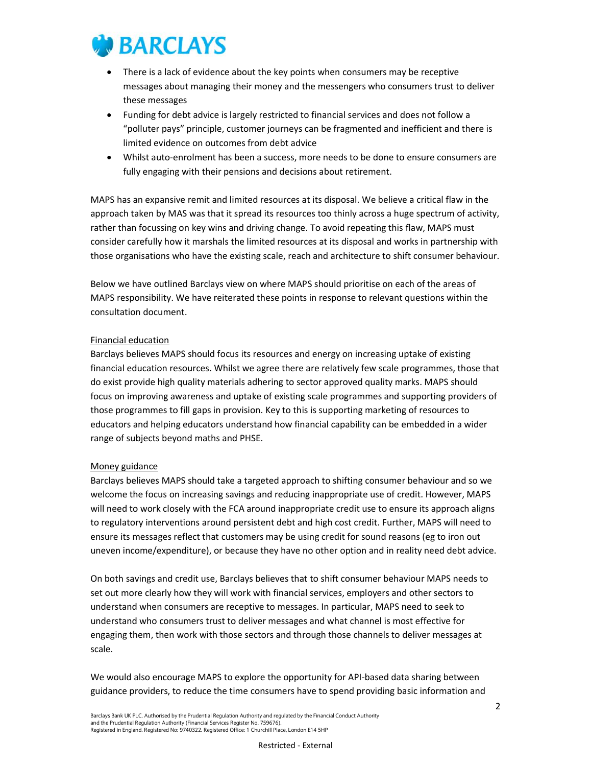

- There is a lack of evidence about the key points when consumers may be receptive messages about managing their money and the messengers who consumers trust to deliver these messages
- Funding for debt advice is largely restricted to financial services and does not follow a "polluter pays" principle, customer journeys can be fragmented and inefficient and there is limited evidence on outcomes from debt advice
- Whilst auto-enrolment has been a success, more needs to be done to ensure consumers are fully engaging with their pensions and decisions about retirement.

MAPS has an expansive remit and limited resources at its disposal. We believe a critical flaw in the approach taken by MAS was that it spread its resources too thinly across a huge spectrum of activity, rather than focussing on key wins and driving change. To avoid repeating this flaw, MAPS must consider carefully how it marshals the limited resources at its disposal and works in partnership with those organisations who have the existing scale, reach and architecture to shift consumer behaviour.

Below we have outlined Barclays view on where MAPS should prioritise on each of the areas of MAPS responsibility. We have reiterated these points in response to relevant questions within the consultation document.

#### Financial education

Barclays believes MAPS should focus its resources and energy on increasing uptake of existing financial education resources. Whilst we agree there are relatively few scale programmes, those that do exist provide high quality materials adhering to sector approved quality marks. MAPS should focus on improving awareness and uptake of existing scale programmes and supporting providers of those programmes to fill gaps in provision. Key to this is supporting marketing of resources to educators and helping educators understand how financial capability can be embedded in a wider range of subjects beyond maths and PHSE.

#### Money guidance

Barclays believes MAPS should take a targeted approach to shifting consumer behaviour and so we welcome the focus on increasing savings and reducing inappropriate use of credit. However, MAPS will need to work closely with the FCA around inappropriate credit use to ensure its approach aligns to regulatory interventions around persistent debt and high cost credit. Further, MAPS will need to ensure its messages reflect that customers may be using credit for sound reasons (eg to iron out uneven income/expenditure), or because they have no other option and in reality need debt advice.

On both savings and credit use, Barclays believes that to shift consumer behaviour MAPS needs to set out more clearly how they will work with financial services, employers and other sectors to understand when consumers are receptive to messages. In particular, MAPS need to seek to understand who consumers trust to deliver messages and what channel is most effective for engaging them, then work with those sectors and through those channels to deliver messages at scale.

We would also encourage MAPS to explore the opportunity for API-based data sharing between guidance providers, to reduce the time consumers have to spend providing basic information and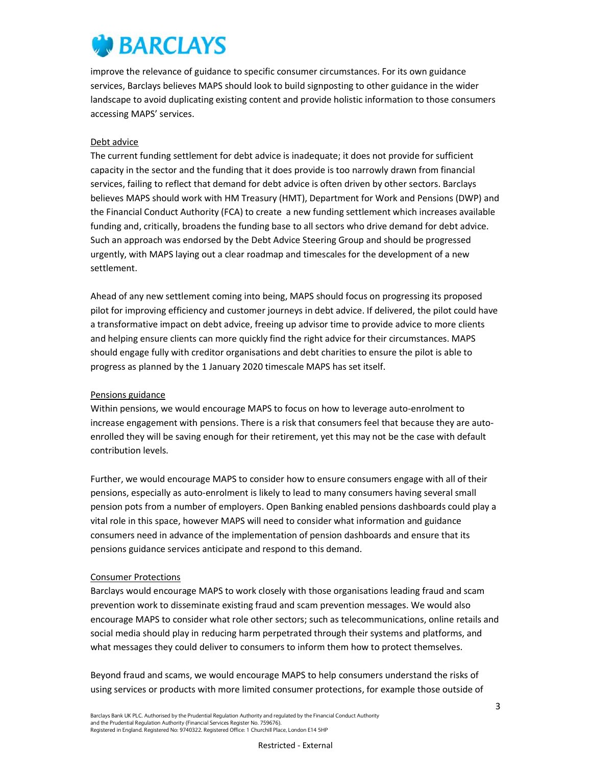improve the relevance of guidance to specific consumer circumstances. For its own guidance services, Barclays believes MAPS should look to build signposting to other guidance in the wider landscape to avoid duplicating existing content and provide holistic information to those consumers accessing MAPS' services.

#### Debt advice

The current funding settlement for debt advice is inadequate; it does not provide for sufficient capacity in the sector and the funding that it does provide is too narrowly drawn from financial services, failing to reflect that demand for debt advice is often driven by other sectors. Barclays believes MAPS should work with HM Treasury (HMT), Department for Work and Pensions (DWP) and the Financial Conduct Authority (FCA) to create a new funding settlement which increases available funding and, critically, broadens the funding base to all sectors who drive demand for debt advice. Such an approach was endorsed by the Debt Advice Steering Group and should be progressed urgently, with MAPS laying out a clear roadmap and timescales for the development of a new settlement.

Ahead of any new settlement coming into being, MAPS should focus on progressing its proposed pilot for improving efficiency and customer journeys in debt advice. If delivered, the pilot could have a transformative impact on debt advice, freeing up advisor time to provide advice to more clients and helping ensure clients can more quickly find the right advice for their circumstances. MAPS should engage fully with creditor organisations and debt charities to ensure the pilot is able to progress as planned by the 1 January 2020 timescale MAPS has set itself.

### Pensions guidance

Within pensions, we would encourage MAPS to focus on how to leverage auto-enrolment to increase engagement with pensions. There is a risk that consumers feel that because they are autoenrolled they will be saving enough for their retirement, yet this may not be the case with default contribution levels.

Further, we would encourage MAPS to consider how to ensure consumers engage with all of their pensions, especially as auto-enrolment is likely to lead to many consumers having several small pension pots from a number of employers. Open Banking enabled pensions dashboards could play a vital role in this space, however MAPS will need to consider what information and guidance consumers need in advance of the implementation of pension dashboards and ensure that its pensions guidance services anticipate and respond to this demand.

#### Consumer Protections

Barclays would encourage MAPS to work closely with those organisations leading fraud and scam prevention work to disseminate existing fraud and scam prevention messages. We would also encourage MAPS to consider what role other sectors; such as telecommunications, online retails and social media should play in reducing harm perpetrated through their systems and platforms, and what messages they could deliver to consumers to inform them how to protect themselves.

Beyond fraud and scams, we would encourage MAPS to help consumers understand the risks of using services or products with more limited consumer protections, for example those outside of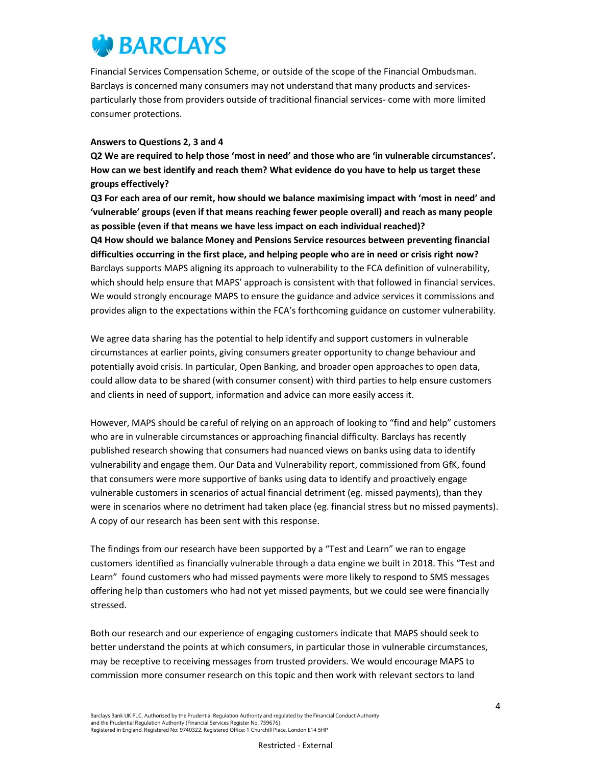Financial Services Compensation Scheme, or outside of the scope of the Financial Ombudsman. Barclays is concerned many consumers may not understand that many products and servicesparticularly those from providers outside of traditional financial services- come with more limited consumer protections.

#### Answers to Questions 2, 3 and 4

Q2 We are required to help those 'most in need' and those who are 'in vulnerable circumstances'. How can we best identify and reach them? What evidence do you have to help us target these groups effectively?

Q3 For each area of our remit, how should we balance maximising impact with 'most in need' and 'vulnerable' groups (even if that means reaching fewer people overall) and reach as many people as possible (even if that means we have less impact on each individual reached)? Q4 How should we balance Money and Pensions Service resources between preventing financial difficulties occurring in the first place, and helping people who are in need or crisis right now? Barclays supports MAPS aligning its approach to vulnerability to the FCA definition of vulnerability, which should help ensure that MAPS' approach is consistent with that followed in financial services. We would strongly encourage MAPS to ensure the guidance and advice services it commissions and provides align to the expectations within the FCA's forthcoming guidance on customer vulnerability.

We agree data sharing has the potential to help identify and support customers in vulnerable circumstances at earlier points, giving consumers greater opportunity to change behaviour and potentially avoid crisis. In particular, Open Banking, and broader open approaches to open data, could allow data to be shared (with consumer consent) with third parties to help ensure customers and clients in need of support, information and advice can more easily access it.

However, MAPS should be careful of relying on an approach of looking to "find and help" customers who are in vulnerable circumstances or approaching financial difficulty. Barclays has recently published research showing that consumers had nuanced views on banks using data to identify vulnerability and engage them. Our Data and Vulnerability report, commissioned from GfK, found that consumers were more supportive of banks using data to identify and proactively engage vulnerable customers in scenarios of actual financial detriment (eg. missed payments), than they were in scenarios where no detriment had taken place (eg. financial stress but no missed payments). A copy of our research has been sent with this response.

The findings from our research have been supported by a "Test and Learn" we ran to engage customers identified as financially vulnerable through a data engine we built in 2018. This "Test and Learn" found customers who had missed payments were more likely to respond to SMS messages offering help than customers who had not yet missed payments, but we could see were financially stressed.

Both our research and our experience of engaging customers indicate that MAPS should seek to better understand the points at which consumers, in particular those in vulnerable circumstances, may be receptive to receiving messages from trusted providers. We would encourage MAPS to commission more consumer research on this topic and then work with relevant sectors to land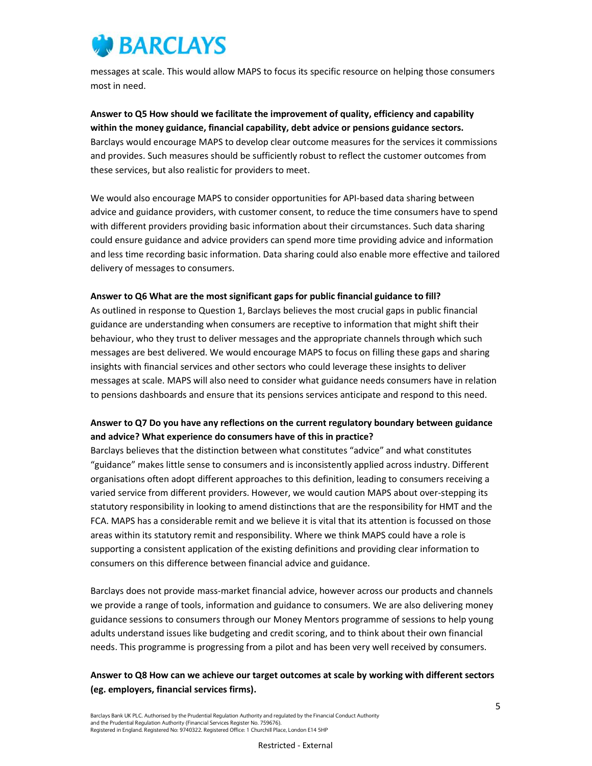

messages at scale. This would allow MAPS to focus its specific resource on helping those consumers most in need.

Answer to Q5 How should we facilitate the improvement of quality, efficiency and capability within the money guidance, financial capability, debt advice or pensions guidance sectors. Barclays would encourage MAPS to develop clear outcome measures for the services it commissions and provides. Such measures should be sufficiently robust to reflect the customer outcomes from these services, but also realistic for providers to meet.

We would also encourage MAPS to consider opportunities for API-based data sharing between advice and guidance providers, with customer consent, to reduce the time consumers have to spend with different providers providing basic information about their circumstances. Such data sharing could ensure guidance and advice providers can spend more time providing advice and information and less time recording basic information. Data sharing could also enable more effective and tailored delivery of messages to consumers.

#### Answer to Q6 What are the most significant gaps for public financial guidance to fill?

As outlined in response to Question 1, Barclays believes the most crucial gaps in public financial guidance are understanding when consumers are receptive to information that might shift their behaviour, who they trust to deliver messages and the appropriate channels through which such messages are best delivered. We would encourage MAPS to focus on filling these gaps and sharing insights with financial services and other sectors who could leverage these insights to deliver messages at scale. MAPS will also need to consider what guidance needs consumers have in relation to pensions dashboards and ensure that its pensions services anticipate and respond to this need.

## Answer to Q7 Do you have any reflections on the current regulatory boundary between guidance and advice? What experience do consumers have of this in practice?

Barclays believes that the distinction between what constitutes "advice" and what constitutes "guidance" makes little sense to consumers and is inconsistently applied across industry. Different organisations often adopt different approaches to this definition, leading to consumers receiving a varied service from different providers. However, we would caution MAPS about over-stepping its statutory responsibility in looking to amend distinctions that are the responsibility for HMT and the FCA. MAPS has a considerable remit and we believe it is vital that its attention is focussed on those areas within its statutory remit and responsibility. Where we think MAPS could have a role is supporting a consistent application of the existing definitions and providing clear information to consumers on this difference between financial advice and guidance.

Barclays does not provide mass-market financial advice, however across our products and channels we provide a range of tools, information and guidance to consumers. We are also delivering money guidance sessions to consumers through our Money Mentors programme of sessions to help young adults understand issues like budgeting and credit scoring, and to think about their own financial needs. This programme is progressing from a pilot and has been very well received by consumers.

## Answer to Q8 How can we achieve our target outcomes at scale by working with different sectors (eg. employers, financial services firms).

Barclays Bank UK PLC. Authorised by the Prudential Regulation Authority and regulated by the Financial Conduct Authority and the Prudential Regulation Authority (Financial Services Register No. 759676). Registered in England. Registered No: 9740322. Registered Office: 1 Churchill Place, London E14 5HP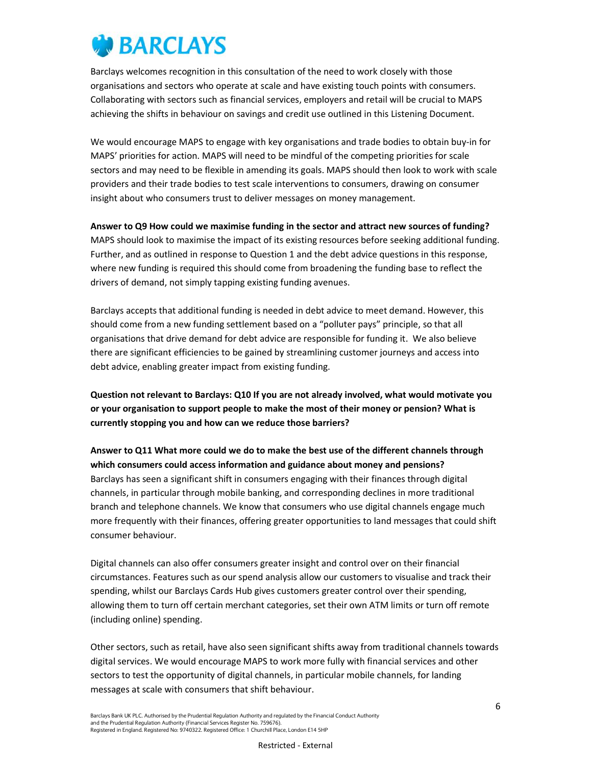

Barclays welcomes recognition in this consultation of the need to work closely with those organisations and sectors who operate at scale and have existing touch points with consumers. Collaborating with sectors such as financial services, employers and retail will be crucial to MAPS achieving the shifts in behaviour on savings and credit use outlined in this Listening Document.

We would encourage MAPS to engage with key organisations and trade bodies to obtain buy-in for MAPS' priorities for action. MAPS will need to be mindful of the competing priorities for scale sectors and may need to be flexible in amending its goals. MAPS should then look to work with scale providers and their trade bodies to test scale interventions to consumers, drawing on consumer insight about who consumers trust to deliver messages on money management.

Answer to Q9 How could we maximise funding in the sector and attract new sources of funding? MAPS should look to maximise the impact of its existing resources before seeking additional funding. Further, and as outlined in response to Question 1 and the debt advice questions in this response, where new funding is required this should come from broadening the funding base to reflect the drivers of demand, not simply tapping existing funding avenues.

Barclays accepts that additional funding is needed in debt advice to meet demand. However, this should come from a new funding settlement based on a "polluter pays" principle, so that all organisations that drive demand for debt advice are responsible for funding it. We also believe there are significant efficiencies to be gained by streamlining customer journeys and access into debt advice, enabling greater impact from existing funding.

Question not relevant to Barclays: Q10 If you are not already involved, what would motivate you or your organisation to support people to make the most of their money or pension? What is currently stopping you and how can we reduce those barriers?

Answer to Q11 What more could we do to make the best use of the different channels through which consumers could access information and guidance about money and pensions? Barclays has seen a significant shift in consumers engaging with their finances through digital channels, in particular through mobile banking, and corresponding declines in more traditional branch and telephone channels. We know that consumers who use digital channels engage much more frequently with their finances, offering greater opportunities to land messages that could shift consumer behaviour.

Digital channels can also offer consumers greater insight and control over on their financial circumstances. Features such as our spend analysis allow our customers to visualise and track their spending, whilst our Barclays Cards Hub gives customers greater control over their spending, allowing them to turn off certain merchant categories, set their own ATM limits or turn off remote (including online) spending.

Other sectors, such as retail, have also seen significant shifts away from traditional channels towards digital services. We would encourage MAPS to work more fully with financial services and other sectors to test the opportunity of digital channels, in particular mobile channels, for landing messages at scale with consumers that shift behaviour.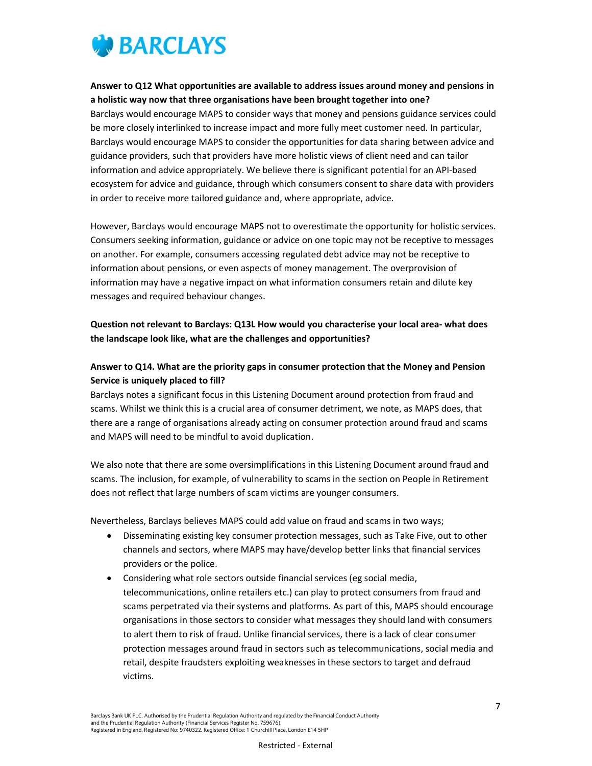

### Answer to Q12 What opportunities are available to address issues around money and pensions in a holistic way now that three organisations have been brought together into one?

Barclays would encourage MAPS to consider ways that money and pensions guidance services could be more closely interlinked to increase impact and more fully meet customer need. In particular, Barclays would encourage MAPS to consider the opportunities for data sharing between advice and guidance providers, such that providers have more holistic views of client need and can tailor information and advice appropriately. We believe there is significant potential for an API-based ecosystem for advice and guidance, through which consumers consent to share data with providers in order to receive more tailored guidance and, where appropriate, advice.

However, Barclays would encourage MAPS not to overestimate the opportunity for holistic services. Consumers seeking information, guidance or advice on one topic may not be receptive to messages on another. For example, consumers accessing regulated debt advice may not be receptive to information about pensions, or even aspects of money management. The overprovision of information may have a negative impact on what information consumers retain and dilute key messages and required behaviour changes.

## Question not relevant to Barclays: Q13L How would you characterise your local area- what does the landscape look like, what are the challenges and opportunities?

## Answer to Q14. What are the priority gaps in consumer protection that the Money and Pension Service is uniquely placed to fill?

Barclays notes a significant focus in this Listening Document around protection from fraud and scams. Whilst we think this is a crucial area of consumer detriment, we note, as MAPS does, that there are a range of organisations already acting on consumer protection around fraud and scams and MAPS will need to be mindful to avoid duplication.

We also note that there are some oversimplifications in this Listening Document around fraud and scams. The inclusion, for example, of vulnerability to scams in the section on People in Retirement does not reflect that large numbers of scam victims are younger consumers.

Nevertheless, Barclays believes MAPS could add value on fraud and scams in two ways;

- Disseminating existing key consumer protection messages, such as Take Five, out to other channels and sectors, where MAPS may have/develop better links that financial services providers or the police.
- Considering what role sectors outside financial services (eg social media, telecommunications, online retailers etc.) can play to protect consumers from fraud and scams perpetrated via their systems and platforms. As part of this, MAPS should encourage organisations in those sectors to consider what messages they should land with consumers to alert them to risk of fraud. Unlike financial services, there is a lack of clear consumer protection messages around fraud in sectors such as telecommunications, social media and retail, despite fraudsters exploiting weaknesses in these sectors to target and defraud victims.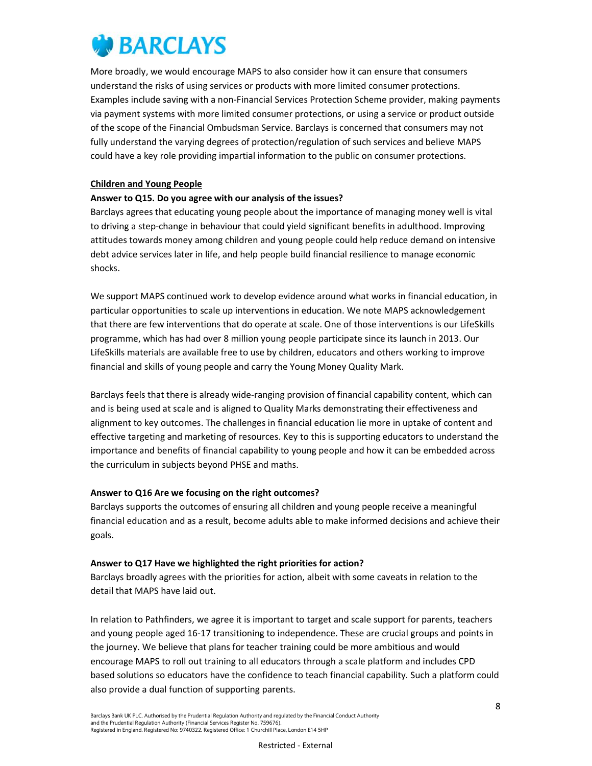More broadly, we would encourage MAPS to also consider how it can ensure that consumers understand the risks of using services or products with more limited consumer protections. Examples include saving with a non-Financial Services Protection Scheme provider, making payments via payment systems with more limited consumer protections, or using a service or product outside of the scope of the Financial Ombudsman Service. Barclays is concerned that consumers may not fully understand the varying degrees of protection/regulation of such services and believe MAPS could have a key role providing impartial information to the public on consumer protections.

#### Children and Young People

### Answer to Q15. Do you agree with our analysis of the issues?

Barclays agrees that educating young people about the importance of managing money well is vital to driving a step-change in behaviour that could yield significant benefits in adulthood. Improving attitudes towards money among children and young people could help reduce demand on intensive debt advice services later in life, and help people build financial resilience to manage economic shocks.

We support MAPS continued work to develop evidence around what works in financial education, in particular opportunities to scale up interventions in education. We note MAPS acknowledgement that there are few interventions that do operate at scale. One of those interventions is our LifeSkills programme, which has had over 8 million young people participate since its launch in 2013. Our LifeSkills materials are available free to use by children, educators and others working to improve financial and skills of young people and carry the Young Money Quality Mark.

Barclays feels that there is already wide-ranging provision of financial capability content, which can and is being used at scale and is aligned to Quality Marks demonstrating their effectiveness and alignment to key outcomes. The challenges in financial education lie more in uptake of content and effective targeting and marketing of resources. Key to this is supporting educators to understand the importance and benefits of financial capability to young people and how it can be embedded across the curriculum in subjects beyond PHSE and maths.

### Answer to Q16 Are we focusing on the right outcomes?

Barclays supports the outcomes of ensuring all children and young people receive a meaningful financial education and as a result, become adults able to make informed decisions and achieve their goals.

### Answer to Q17 Have we highlighted the right priorities for action?

Barclays broadly agrees with the priorities for action, albeit with some caveats in relation to the detail that MAPS have laid out.

In relation to Pathfinders, we agree it is important to target and scale support for parents, teachers and young people aged 16-17 transitioning to independence. These are crucial groups and points in the journey. We believe that plans for teacher training could be more ambitious and would encourage MAPS to roll out training to all educators through a scale platform and includes CPD based solutions so educators have the confidence to teach financial capability. Such a platform could also provide a dual function of supporting parents.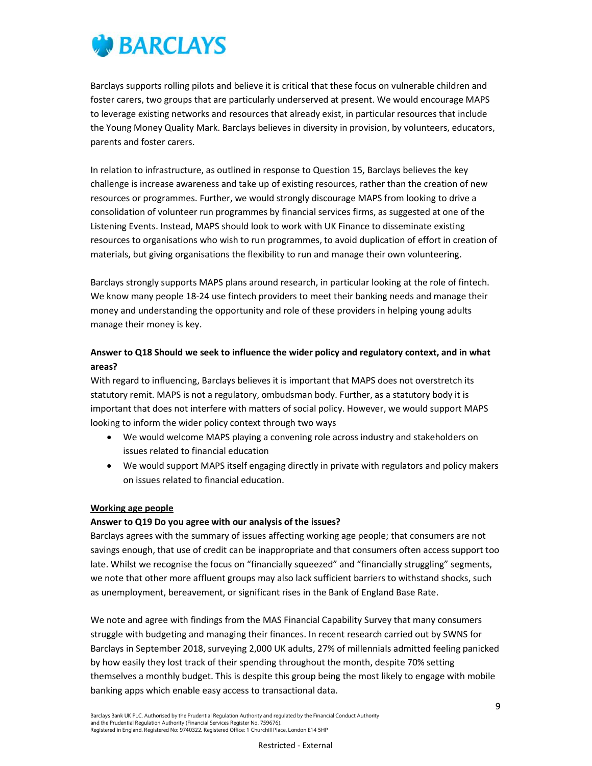

Barclays supports rolling pilots and believe it is critical that these focus on vulnerable children and foster carers, two groups that are particularly underserved at present. We would encourage MAPS to leverage existing networks and resources that already exist, in particular resources that include the Young Money Quality Mark. Barclays believes in diversity in provision, by volunteers, educators, parents and foster carers.

In relation to infrastructure, as outlined in response to Question 15, Barclays believes the key challenge is increase awareness and take up of existing resources, rather than the creation of new resources or programmes. Further, we would strongly discourage MAPS from looking to drive a consolidation of volunteer run programmes by financial services firms, as suggested at one of the Listening Events. Instead, MAPS should look to work with UK Finance to disseminate existing resources to organisations who wish to run programmes, to avoid duplication of effort in creation of materials, but giving organisations the flexibility to run and manage their own volunteering.

Barclays strongly supports MAPS plans around research, in particular looking at the role of fintech. We know many people 18-24 use fintech providers to meet their banking needs and manage their money and understanding the opportunity and role of these providers in helping young adults manage their money is key.

## Answer to Q18 Should we seek to influence the wider policy and regulatory context, and in what areas?

With regard to influencing, Barclays believes it is important that MAPS does not overstretch its statutory remit. MAPS is not a regulatory, ombudsman body. Further, as a statutory body it is important that does not interfere with matters of social policy. However, we would support MAPS looking to inform the wider policy context through two ways

- We would welcome MAPS playing a convening role across industry and stakeholders on issues related to financial education
- We would support MAPS itself engaging directly in private with regulators and policy makers on issues related to financial education.

#### Working age people

#### Answer to Q19 Do you agree with our analysis of the issues?

Barclays agrees with the summary of issues affecting working age people; that consumers are not savings enough, that use of credit can be inappropriate and that consumers often access support too late. Whilst we recognise the focus on "financially squeezed" and "financially struggling" segments, we note that other more affluent groups may also lack sufficient barriers to withstand shocks, such as unemployment, bereavement, or significant rises in the Bank of England Base Rate.

We note and agree with findings from the MAS Financial Capability Survey that many consumers struggle with budgeting and managing their finances. In recent research carried out by SWNS for Barclays in September 2018, surveying 2,000 UK adults, 27% of millennials admitted feeling panicked by how easily they lost track of their spending throughout the month, despite 70% setting themselves a monthly budget. This is despite this group being the most likely to engage with mobile banking apps which enable easy access to transactional data.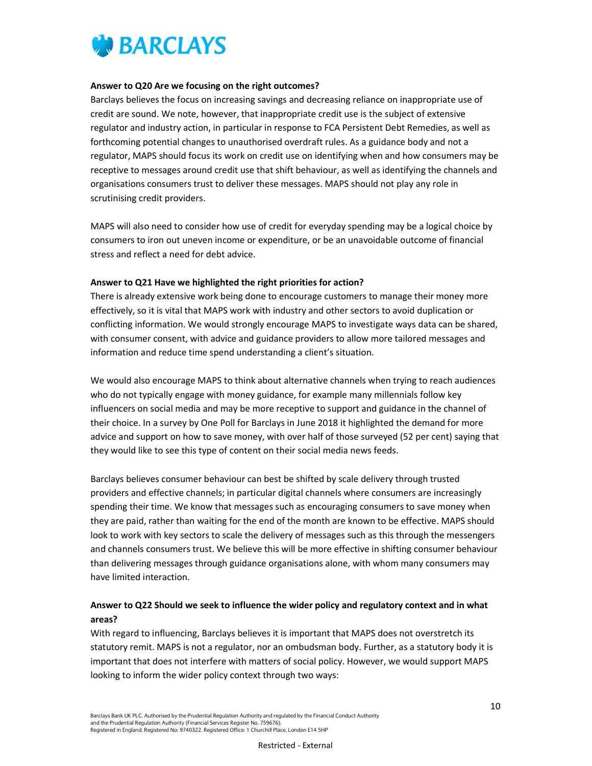

#### Answer to Q20 Are we focusing on the right outcomes?

Barclays believes the focus on increasing savings and decreasing reliance on inappropriate use of credit are sound. We note, however, that inappropriate credit use is the subject of extensive regulator and industry action, in particular in response to FCA Persistent Debt Remedies, as well as forthcoming potential changes to unauthorised overdraft rules. As a guidance body and not a regulator, MAPS should focus its work on credit use on identifying when and how consumers may be receptive to messages around credit use that shift behaviour, as well as identifying the channels and organisations consumers trust to deliver these messages. MAPS should not play any role in scrutinising credit providers.

MAPS will also need to consider how use of credit for everyday spending may be a logical choice by consumers to iron out uneven income or expenditure, or be an unavoidable outcome of financial stress and reflect a need for debt advice.

#### Answer to Q21 Have we highlighted the right priorities for action?

There is already extensive work being done to encourage customers to manage their money more effectively, so it is vital that MAPS work with industry and other sectors to avoid duplication or conflicting information. We would strongly encourage MAPS to investigate ways data can be shared, with consumer consent, with advice and guidance providers to allow more tailored messages and information and reduce time spend understanding a client's situation.

We would also encourage MAPS to think about alternative channels when trying to reach audiences who do not typically engage with money guidance, for example many millennials follow key influencers on social media and may be more receptive to support and guidance in the channel of their choice. In a survey by One Poll for Barclays in June 2018 it highlighted the demand for more advice and support on how to save money, with over half of those surveyed (52 per cent) saying that they would like to see this type of content on their social media news feeds.

Barclays believes consumer behaviour can best be shifted by scale delivery through trusted providers and effective channels; in particular digital channels where consumers are increasingly spending their time. We know that messages such as encouraging consumers to save money when they are paid, rather than waiting for the end of the month are known to be effective. MAPS should look to work with key sectors to scale the delivery of messages such as this through the messengers and channels consumers trust. We believe this will be more effective in shifting consumer behaviour than delivering messages through guidance organisations alone, with whom many consumers may have limited interaction.

## Answer to Q22 Should we seek to influence the wider policy and regulatory context and in what areas?

With regard to influencing, Barclays believes it is important that MAPS does not overstretch its statutory remit. MAPS is not a regulator, nor an ombudsman body. Further, as a statutory body it is important that does not interfere with matters of social policy. However, we would support MAPS looking to inform the wider policy context through two ways: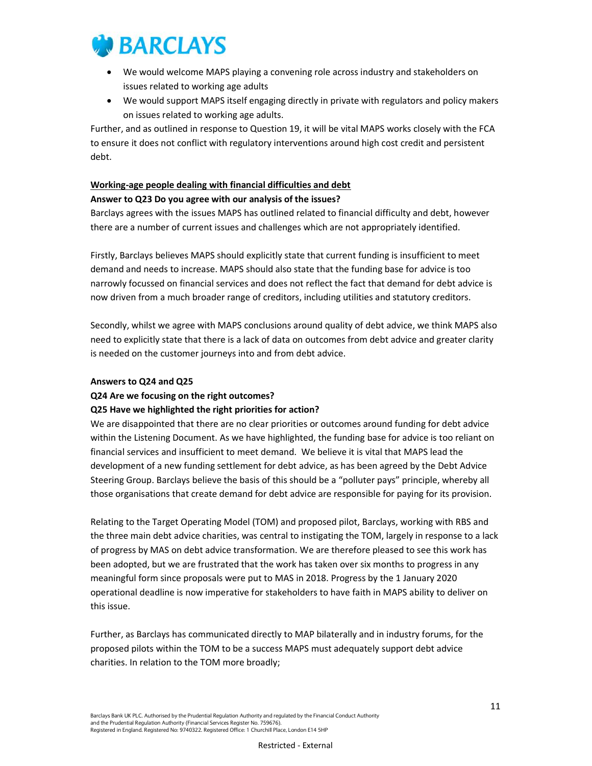

- We would welcome MAPS playing a convening role across industry and stakeholders on issues related to working age adults
- We would support MAPS itself engaging directly in private with regulators and policy makers on issues related to working age adults.

Further, and as outlined in response to Question 19, it will be vital MAPS works closely with the FCA to ensure it does not conflict with regulatory interventions around high cost credit and persistent debt.

## Working-age people dealing with financial difficulties and debt

### Answer to Q23 Do you agree with our analysis of the issues?

Barclays agrees with the issues MAPS has outlined related to financial difficulty and debt, however there are a number of current issues and challenges which are not appropriately identified.

Firstly, Barclays believes MAPS should explicitly state that current funding is insufficient to meet demand and needs to increase. MAPS should also state that the funding base for advice is too narrowly focussed on financial services and does not reflect the fact that demand for debt advice is now driven from a much broader range of creditors, including utilities and statutory creditors.

Secondly, whilst we agree with MAPS conclusions around quality of debt advice, we think MAPS also need to explicitly state that there is a lack of data on outcomes from debt advice and greater clarity is needed on the customer journeys into and from debt advice.

#### Answers to Q24 and Q25

### Q24 Are we focusing on the right outcomes?

### Q25 Have we highlighted the right priorities for action?

We are disappointed that there are no clear priorities or outcomes around funding for debt advice within the Listening Document. As we have highlighted, the funding base for advice is too reliant on financial services and insufficient to meet demand. We believe it is vital that MAPS lead the development of a new funding settlement for debt advice, as has been agreed by the Debt Advice Steering Group. Barclays believe the basis of this should be a "polluter pays" principle, whereby all those organisations that create demand for debt advice are responsible for paying for its provision.

Relating to the Target Operating Model (TOM) and proposed pilot, Barclays, working with RBS and the three main debt advice charities, was central to instigating the TOM, largely in response to a lack of progress by MAS on debt advice transformation. We are therefore pleased to see this work has been adopted, but we are frustrated that the work has taken over six months to progress in any meaningful form since proposals were put to MAS in 2018. Progress by the 1 January 2020 operational deadline is now imperative for stakeholders to have faith in MAPS ability to deliver on this issue.

Further, as Barclays has communicated directly to MAP bilaterally and in industry forums, for the proposed pilots within the TOM to be a success MAPS must adequately support debt advice charities. In relation to the TOM more broadly;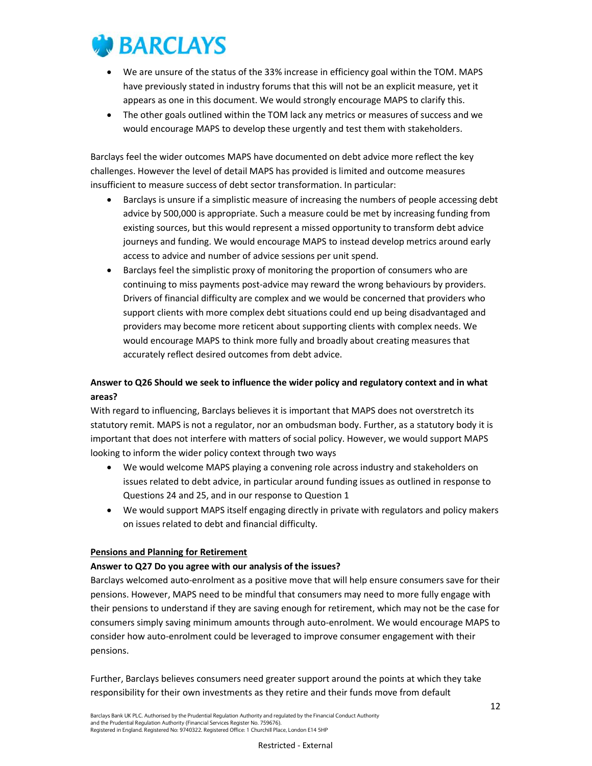

- We are unsure of the status of the 33% increase in efficiency goal within the TOM. MAPS have previously stated in industry forums that this will not be an explicit measure, yet it appears as one in this document. We would strongly encourage MAPS to clarify this.
- The other goals outlined within the TOM lack any metrics or measures of success and we would encourage MAPS to develop these urgently and test them with stakeholders.

Barclays feel the wider outcomes MAPS have documented on debt advice more reflect the key challenges. However the level of detail MAPS has provided is limited and outcome measures insufficient to measure success of debt sector transformation. In particular:

- Barclays is unsure if a simplistic measure of increasing the numbers of people accessing debt advice by 500,000 is appropriate. Such a measure could be met by increasing funding from existing sources, but this would represent a missed opportunity to transform debt advice journeys and funding. We would encourage MAPS to instead develop metrics around early access to advice and number of advice sessions per unit spend.
- Barclays feel the simplistic proxy of monitoring the proportion of consumers who are continuing to miss payments post-advice may reward the wrong behaviours by providers. Drivers of financial difficulty are complex and we would be concerned that providers who support clients with more complex debt situations could end up being disadvantaged and providers may become more reticent about supporting clients with complex needs. We would encourage MAPS to think more fully and broadly about creating measures that accurately reflect desired outcomes from debt advice.

## Answer to Q26 Should we seek to influence the wider policy and regulatory context and in what areas?

With regard to influencing, Barclays believes it is important that MAPS does not overstretch its statutory remit. MAPS is not a regulator, nor an ombudsman body. Further, as a statutory body it is important that does not interfere with matters of social policy. However, we would support MAPS looking to inform the wider policy context through two ways

- We would welcome MAPS playing a convening role across industry and stakeholders on issues related to debt advice, in particular around funding issues as outlined in response to Questions 24 and 25, and in our response to Question 1
- We would support MAPS itself engaging directly in private with regulators and policy makers on issues related to debt and financial difficulty.

### Pensions and Planning for Retirement

#### Answer to Q27 Do you agree with our analysis of the issues?

Barclays welcomed auto-enrolment as a positive move that will help ensure consumers save for their pensions. However, MAPS need to be mindful that consumers may need to more fully engage with their pensions to understand if they are saving enough for retirement, which may not be the case for consumers simply saving minimum amounts through auto-enrolment. We would encourage MAPS to consider how auto-enrolment could be leveraged to improve consumer engagement with their pensions.

Further, Barclays believes consumers need greater support around the points at which they take responsibility for their own investments as they retire and their funds move from default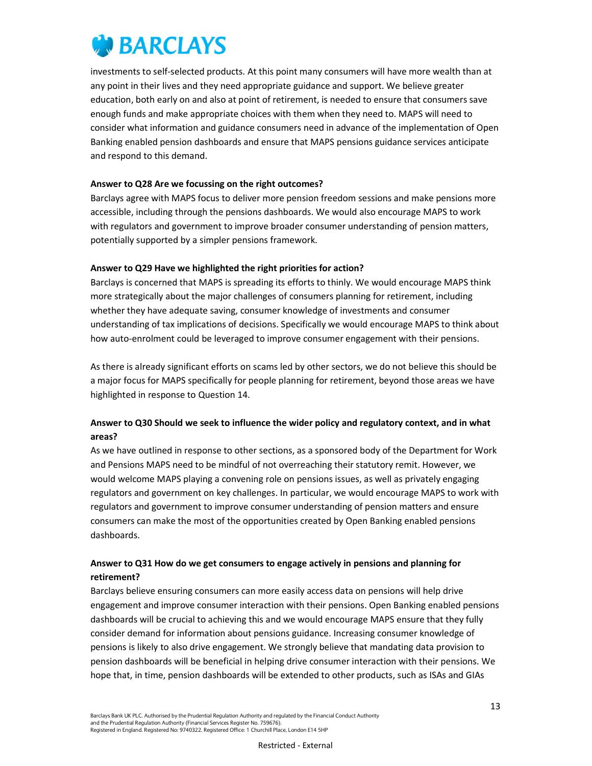

investments to self-selected products. At this point many consumers will have more wealth than at any point in their lives and they need appropriate guidance and support. We believe greater education, both early on and also at point of retirement, is needed to ensure that consumers save enough funds and make appropriate choices with them when they need to. MAPS will need to consider what information and guidance consumers need in advance of the implementation of Open Banking enabled pension dashboards and ensure that MAPS pensions guidance services anticipate and respond to this demand.

#### Answer to Q28 Are we focussing on the right outcomes?

Barclays agree with MAPS focus to deliver more pension freedom sessions and make pensions more accessible, including through the pensions dashboards. We would also encourage MAPS to work with regulators and government to improve broader consumer understanding of pension matters, potentially supported by a simpler pensions framework.

#### Answer to Q29 Have we highlighted the right priorities for action?

Barclays is concerned that MAPS is spreading its efforts to thinly. We would encourage MAPS think more strategically about the major challenges of consumers planning for retirement, including whether they have adequate saving, consumer knowledge of investments and consumer understanding of tax implications of decisions. Specifically we would encourage MAPS to think about how auto-enrolment could be leveraged to improve consumer engagement with their pensions.

As there is already significant efforts on scams led by other sectors, we do not believe this should be a major focus for MAPS specifically for people planning for retirement, beyond those areas we have highlighted in response to Question 14.

## Answer to Q30 Should we seek to influence the wider policy and regulatory context, and in what areas?

As we have outlined in response to other sections, as a sponsored body of the Department for Work and Pensions MAPS need to be mindful of not overreaching their statutory remit. However, we would welcome MAPS playing a convening role on pensions issues, as well as privately engaging regulators and government on key challenges. In particular, we would encourage MAPS to work with regulators and government to improve consumer understanding of pension matters and ensure consumers can make the most of the opportunities created by Open Banking enabled pensions dashboards.

## Answer to Q31 How do we get consumers to engage actively in pensions and planning for retirement?

Barclays believe ensuring consumers can more easily access data on pensions will help drive engagement and improve consumer interaction with their pensions. Open Banking enabled pensions dashboards will be crucial to achieving this and we would encourage MAPS ensure that they fully consider demand for information about pensions guidance. Increasing consumer knowledge of pensions is likely to also drive engagement. We strongly believe that mandating data provision to pension dashboards will be beneficial in helping drive consumer interaction with their pensions. We hope that, in time, pension dashboards will be extended to other products, such as ISAs and GIAs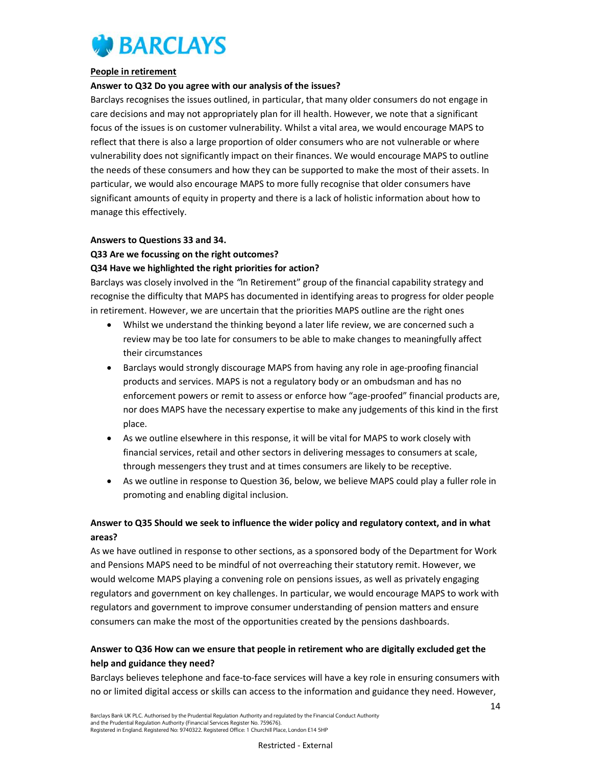

#### People in retirement

#### Answer to Q32 Do you agree with our analysis of the issues?

Barclays recognises the issues outlined, in particular, that many older consumers do not engage in care decisions and may not appropriately plan for ill health. However, we note that a significant focus of the issues is on customer vulnerability. Whilst a vital area, we would encourage MAPS to reflect that there is also a large proportion of older consumers who are not vulnerable or where vulnerability does not significantly impact on their finances. We would encourage MAPS to outline the needs of these consumers and how they can be supported to make the most of their assets. In particular, we would also encourage MAPS to more fully recognise that older consumers have significant amounts of equity in property and there is a lack of holistic information about how to manage this effectively.

## Answers to Questions 33 and 34. Q33 Are we focussing on the right outcomes?

#### Q34 Have we highlighted the right priorities for action?

Barclays was closely involved in the "In Retirement" group of the financial capability strategy and recognise the difficulty that MAPS has documented in identifying areas to progress for older people in retirement. However, we are uncertain that the priorities MAPS outline are the right ones

- Whilst we understand the thinking beyond a later life review, we are concerned such a review may be too late for consumers to be able to make changes to meaningfully affect their circumstances
- Barclays would strongly discourage MAPS from having any role in age-proofing financial products and services. MAPS is not a regulatory body or an ombudsman and has no enforcement powers or remit to assess or enforce how "age-proofed" financial products are, nor does MAPS have the necessary expertise to make any judgements of this kind in the first place.
- As we outline elsewhere in this response, it will be vital for MAPS to work closely with financial services, retail and other sectors in delivering messages to consumers at scale, through messengers they trust and at times consumers are likely to be receptive.
- As we outline in response to Question 36, below, we believe MAPS could play a fuller role in promoting and enabling digital inclusion.

## Answer to Q35 Should we seek to influence the wider policy and regulatory context, and in what areas?

As we have outlined in response to other sections, as a sponsored body of the Department for Work and Pensions MAPS need to be mindful of not overreaching their statutory remit. However, we would welcome MAPS playing a convening role on pensions issues, as well as privately engaging regulators and government on key challenges. In particular, we would encourage MAPS to work with regulators and government to improve consumer understanding of pension matters and ensure consumers can make the most of the opportunities created by the pensions dashboards.

## Answer to Q36 How can we ensure that people in retirement who are digitally excluded get the help and guidance they need?

Barclays believes telephone and face-to-face services will have a key role in ensuring consumers with no or limited digital access or skills can access to the information and guidance they need. However,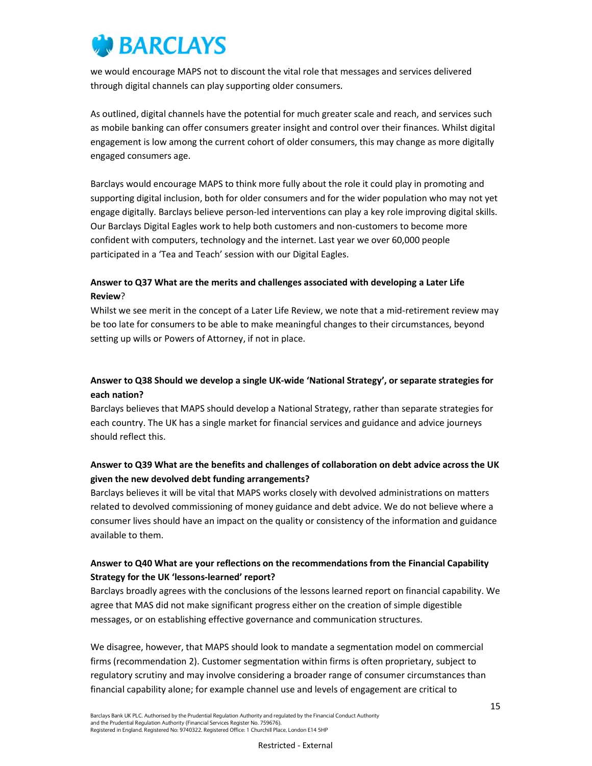we would encourage MAPS not to discount the vital role that messages and services delivered through digital channels can play supporting older consumers.

As outlined, digital channels have the potential for much greater scale and reach, and services such as mobile banking can offer consumers greater insight and control over their finances. Whilst digital engagement is low among the current cohort of older consumers, this may change as more digitally engaged consumers age.

Barclays would encourage MAPS to think more fully about the role it could play in promoting and supporting digital inclusion, both for older consumers and for the wider population who may not yet engage digitally. Barclays believe person-led interventions can play a key role improving digital skills. Our Barclays Digital Eagles work to help both customers and non-customers to become more confident with computers, technology and the internet. Last year we over 60,000 people participated in a 'Tea and Teach' session with our Digital Eagles.

## Answer to Q37 What are the merits and challenges associated with developing a Later Life Review?

Whilst we see merit in the concept of a Later Life Review, we note that a mid-retirement review may be too late for consumers to be able to make meaningful changes to their circumstances, beyond setting up wills or Powers of Attorney, if not in place.

## Answer to Q38 Should we develop a single UK-wide 'National Strategy', or separate strategies for each nation?

Barclays believes that MAPS should develop a National Strategy, rather than separate strategies for each country. The UK has a single market for financial services and guidance and advice journeys should reflect this.

## Answer to Q39 What are the benefits and challenges of collaboration on debt advice across the UK given the new devolved debt funding arrangements?

Barclays believes it will be vital that MAPS works closely with devolved administrations on matters related to devolved commissioning of money guidance and debt advice. We do not believe where a consumer lives should have an impact on the quality or consistency of the information and guidance available to them.

## Answer to Q40 What are your reflections on the recommendations from the Financial Capability Strategy for the UK 'lessons-learned' report?

Barclays broadly agrees with the conclusions of the lessons learned report on financial capability. We agree that MAS did not make significant progress either on the creation of simple digestible messages, or on establishing effective governance and communication structures.

We disagree, however, that MAPS should look to mandate a segmentation model on commercial firms (recommendation 2). Customer segmentation within firms is often proprietary, subject to regulatory scrutiny and may involve considering a broader range of consumer circumstances than financial capability alone; for example channel use and levels of engagement are critical to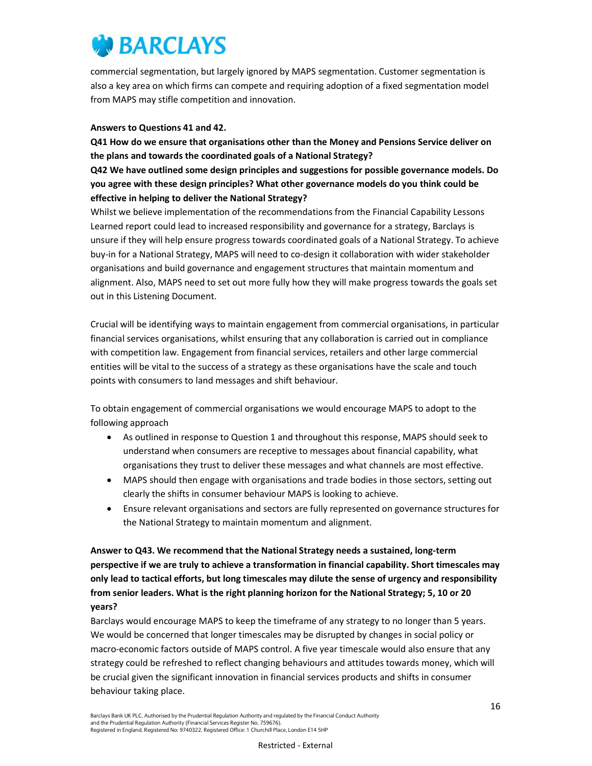

commercial segmentation, but largely ignored by MAPS segmentation. Customer segmentation is also a key area on which firms can compete and requiring adoption of a fixed segmentation model from MAPS may stifle competition and innovation.

#### Answers to Questions 41 and 42.

Q41 How do we ensure that organisations other than the Money and Pensions Service deliver on the plans and towards the coordinated goals of a National Strategy?

Q42 We have outlined some design principles and suggestions for possible governance models. Do you agree with these design principles? What other governance models do you think could be effective in helping to deliver the National Strategy?

Whilst we believe implementation of the recommendations from the Financial Capability Lessons Learned report could lead to increased responsibility and governance for a strategy, Barclays is unsure if they will help ensure progress towards coordinated goals of a National Strategy. To achieve buy-in for a National Strategy, MAPS will need to co-design it collaboration with wider stakeholder organisations and build governance and engagement structures that maintain momentum and alignment. Also, MAPS need to set out more fully how they will make progress towards the goals set out in this Listening Document.

Crucial will be identifying ways to maintain engagement from commercial organisations, in particular financial services organisations, whilst ensuring that any collaboration is carried out in compliance with competition law. Engagement from financial services, retailers and other large commercial entities will be vital to the success of a strategy as these organisations have the scale and touch points with consumers to land messages and shift behaviour.

To obtain engagement of commercial organisations we would encourage MAPS to adopt to the following approach

- As outlined in response to Question 1 and throughout this response, MAPS should seek to understand when consumers are receptive to messages about financial capability, what organisations they trust to deliver these messages and what channels are most effective.
- MAPS should then engage with organisations and trade bodies in those sectors, setting out clearly the shifts in consumer behaviour MAPS is looking to achieve.
- Ensure relevant organisations and sectors are fully represented on governance structures for the National Strategy to maintain momentum and alignment.

Answer to Q43. We recommend that the National Strategy needs a sustained, long-term perspective if we are truly to achieve a transformation in financial capability. Short timescales may only lead to tactical efforts, but long timescales may dilute the sense of urgency and responsibility from senior leaders. What is the right planning horizon for the National Strategy; 5, 10 or 20 years?

Barclays would encourage MAPS to keep the timeframe of any strategy to no longer than 5 years. We would be concerned that longer timescales may be disrupted by changes in social policy or macro-economic factors outside of MAPS control. A five year timescale would also ensure that any strategy could be refreshed to reflect changing behaviours and attitudes towards money, which will be crucial given the significant innovation in financial services products and shifts in consumer behaviour taking place.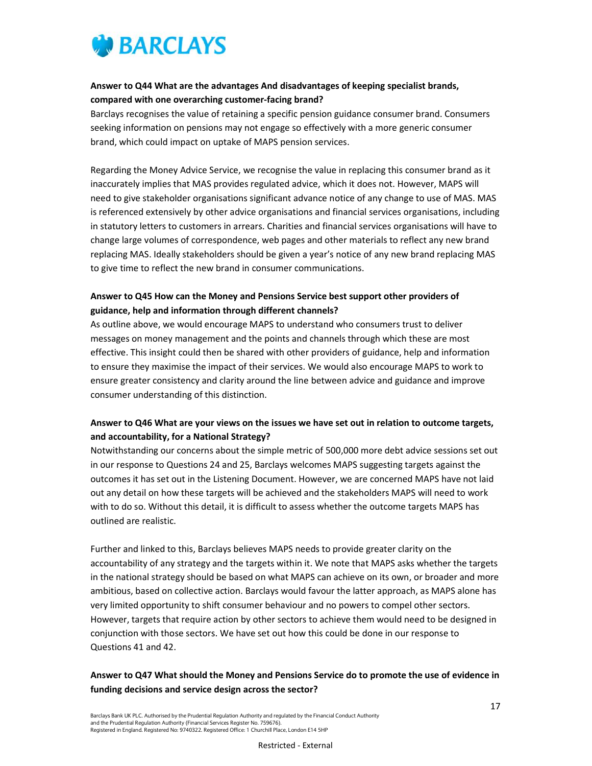

## Answer to Q44 What are the advantages And disadvantages of keeping specialist brands, compared with one overarching customer-facing brand?

Barclays recognises the value of retaining a specific pension guidance consumer brand. Consumers seeking information on pensions may not engage so effectively with a more generic consumer brand, which could impact on uptake of MAPS pension services.

Regarding the Money Advice Service, we recognise the value in replacing this consumer brand as it inaccurately implies that MAS provides regulated advice, which it does not. However, MAPS will need to give stakeholder organisations significant advance notice of any change to use of MAS. MAS is referenced extensively by other advice organisations and financial services organisations, including in statutory letters to customers in arrears. Charities and financial services organisations will have to change large volumes of correspondence, web pages and other materials to reflect any new brand replacing MAS. Ideally stakeholders should be given a year's notice of any new brand replacing MAS to give time to reflect the new brand in consumer communications.

## Answer to Q45 How can the Money and Pensions Service best support other providers of guidance, help and information through different channels?

As outline above, we would encourage MAPS to understand who consumers trust to deliver messages on money management and the points and channels through which these are most effective. This insight could then be shared with other providers of guidance, help and information to ensure they maximise the impact of their services. We would also encourage MAPS to work to ensure greater consistency and clarity around the line between advice and guidance and improve consumer understanding of this distinction.

## Answer to Q46 What are your views on the issues we have set out in relation to outcome targets, and accountability, for a National Strategy?

Notwithstanding our concerns about the simple metric of 500,000 more debt advice sessions set out in our response to Questions 24 and 25, Barclays welcomes MAPS suggesting targets against the outcomes it has set out in the Listening Document. However, we are concerned MAPS have not laid out any detail on how these targets will be achieved and the stakeholders MAPS will need to work with to do so. Without this detail, it is difficult to assess whether the outcome targets MAPS has outlined are realistic.

Further and linked to this, Barclays believes MAPS needs to provide greater clarity on the accountability of any strategy and the targets within it. We note that MAPS asks whether the targets in the national strategy should be based on what MAPS can achieve on its own, or broader and more ambitious, based on collective action. Barclays would favour the latter approach, as MAPS alone has very limited opportunity to shift consumer behaviour and no powers to compel other sectors. However, targets that require action by other sectors to achieve them would need to be designed in conjunction with those sectors. We have set out how this could be done in our response to Questions 41 and 42.

## Answer to Q47 What should the Money and Pensions Service do to promote the use of evidence in funding decisions and service design across the sector?

Barclays Bank UK PLC. Authorised by the Prudential Regulation Authority and regulated by the Financial Conduct Authority and the Prudential Regulation Authority (Financial Services Register No. 759676). Registered in England. Registered No: 9740322. Registered Office: 1 Churchill Place, London E14 5HP